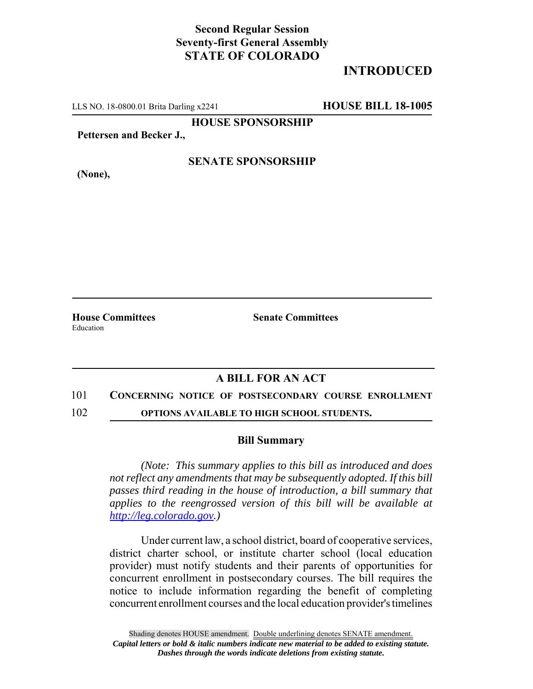## **Second Regular Session Seventy-first General Assembly STATE OF COLORADO**

# **INTRODUCED**

LLS NO. 18-0800.01 Brita Darling x2241 **HOUSE BILL 18-1005**

**HOUSE SPONSORSHIP**

**Pettersen and Becker J.,**

**(None),**

### **SENATE SPONSORSHIP**

Education

**House Committees Senate Committees** 

## **A BILL FOR AN ACT**

#### 101 **CONCERNING NOTICE OF POSTSECONDARY COURSE ENROLLMENT**

102 **OPTIONS AVAILABLE TO HIGH SCHOOL STUDENTS.**

#### **Bill Summary**

*(Note: This summary applies to this bill as introduced and does not reflect any amendments that may be subsequently adopted. If this bill passes third reading in the house of introduction, a bill summary that applies to the reengrossed version of this bill will be available at http://leg.colorado.gov.)*

Under current law, a school district, board of cooperative services, district charter school, or institute charter school (local education provider) must notify students and their parents of opportunities for concurrent enrollment in postsecondary courses. The bill requires the notice to include information regarding the benefit of completing concurrent enrollment courses and the local education provider's timelines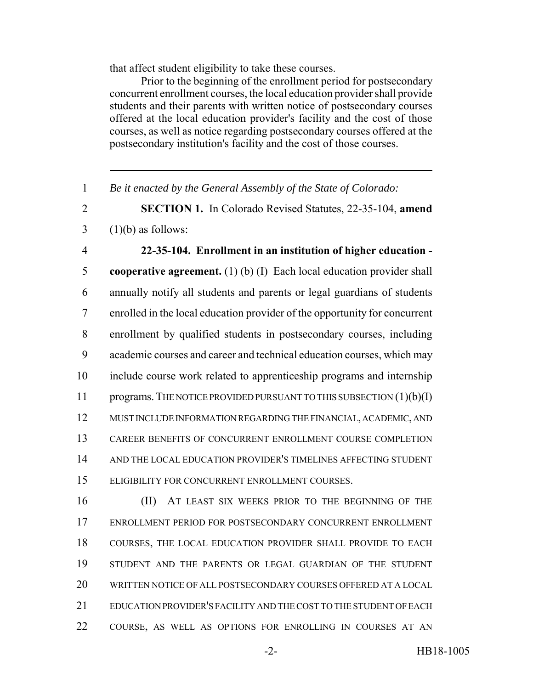that affect student eligibility to take these courses.

Prior to the beginning of the enrollment period for postsecondary concurrent enrollment courses, the local education provider shall provide students and their parents with written notice of postsecondary courses offered at the local education provider's facility and the cost of those courses, as well as notice regarding postsecondary courses offered at the postsecondary institution's facility and the cost of those courses.

*Be it enacted by the General Assembly of the State of Colorado:*

 **SECTION 1.** In Colorado Revised Statutes, 22-35-104, **amend** (1)(b) as follows:

 **22-35-104. Enrollment in an institution of higher education - cooperative agreement.** (1) (b) (I) Each local education provider shall annually notify all students and parents or legal guardians of students enrolled in the local education provider of the opportunity for concurrent enrollment by qualified students in postsecondary courses, including academic courses and career and technical education courses, which may include course work related to apprenticeship programs and internship 11 programs. THE NOTICE PROVIDED PURSUANT TO THIS SUBSECTION (1)(b)(I) MUST INCLUDE INFORMATION REGARDING THE FINANCIAL, ACADEMIC, AND CAREER BENEFITS OF CONCURRENT ENROLLMENT COURSE COMPLETION AND THE LOCAL EDUCATION PROVIDER'S TIMELINES AFFECTING STUDENT ELIGIBILITY FOR CONCURRENT ENROLLMENT COURSES.

**III** AT LEAST SIX WEEKS PRIOR TO THE BEGINNING OF THE ENROLLMENT PERIOD FOR POSTSECONDARY CONCURRENT ENROLLMENT COURSES, THE LOCAL EDUCATION PROVIDER SHALL PROVIDE TO EACH STUDENT AND THE PARENTS OR LEGAL GUARDIAN OF THE STUDENT WRITTEN NOTICE OF ALL POSTSECONDARY COURSES OFFERED AT A LOCAL EDUCATION PROVIDER'S FACILITY AND THE COST TO THE STUDENT OF EACH COURSE, AS WELL AS OPTIONS FOR ENROLLING IN COURSES AT AN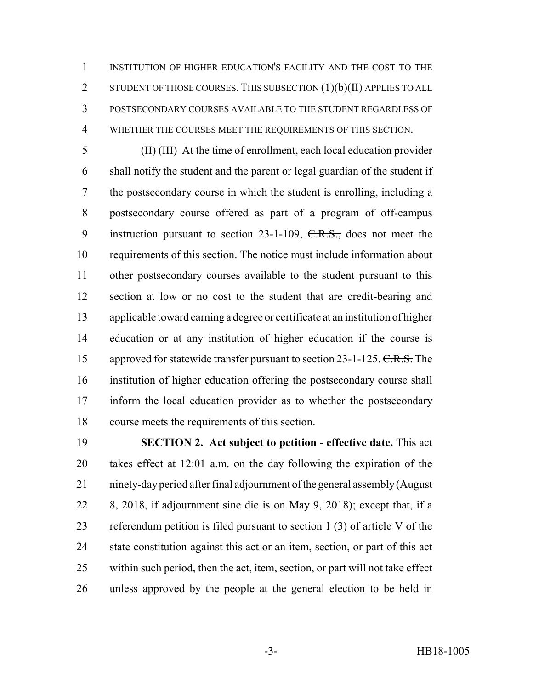INSTITUTION OF HIGHER EDUCATION'S FACILITY AND THE COST TO THE 2 STUDENT OF THOSE COURSES. THIS SUBSECTION (1)(b)(II) APPLIES TO ALL POSTSECONDARY COURSES AVAILABLE TO THE STUDENT REGARDLESS OF WHETHER THE COURSES MEET THE REQUIREMENTS OF THIS SECTION.

5 (H) (III) At the time of enrollment, each local education provider shall notify the student and the parent or legal guardian of the student if the postsecondary course in which the student is enrolling, including a postsecondary course offered as part of a program of off-campus 9 instruction pursuant to section 23-1-109, C.R.S., does not meet the requirements of this section. The notice must include information about other postsecondary courses available to the student pursuant to this section at low or no cost to the student that are credit-bearing and applicable toward earning a degree or certificate at an institution of higher education or at any institution of higher education if the course is 15 approved for statewide transfer pursuant to section 23-1-125. C.R.S. The institution of higher education offering the postsecondary course shall inform the local education provider as to whether the postsecondary course meets the requirements of this section.

 **SECTION 2. Act subject to petition - effective date.** This act takes effect at 12:01 a.m. on the day following the expiration of the ninety-day period after final adjournment of the general assembly (August 8, 2018, if adjournment sine die is on May 9, 2018); except that, if a referendum petition is filed pursuant to section 1 (3) of article V of the state constitution against this act or an item, section, or part of this act within such period, then the act, item, section, or part will not take effect unless approved by the people at the general election to be held in